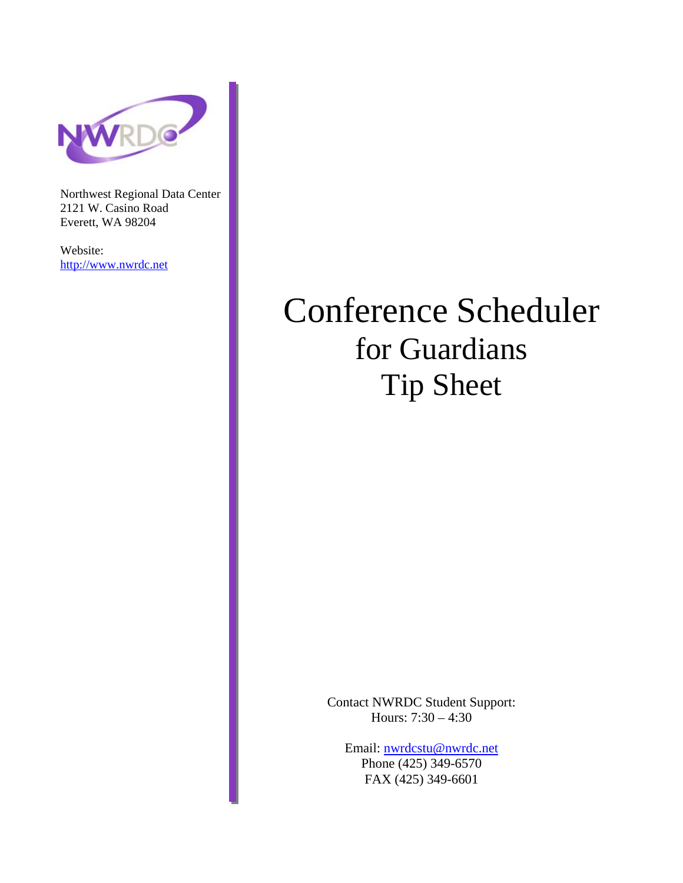

Northwest Regional Data Center 2121 W. Casino Road Everett, WA 98204

Website: http://www.nwrdc.net

# Conference Scheduler for Guardians Tip Sheet

Contact NWRDC Student Support: Hours: 7:30 – 4:30

Email: nwrdcstu@nwrdc.net Phone (425) 349-6570 FAX (425) 349-6601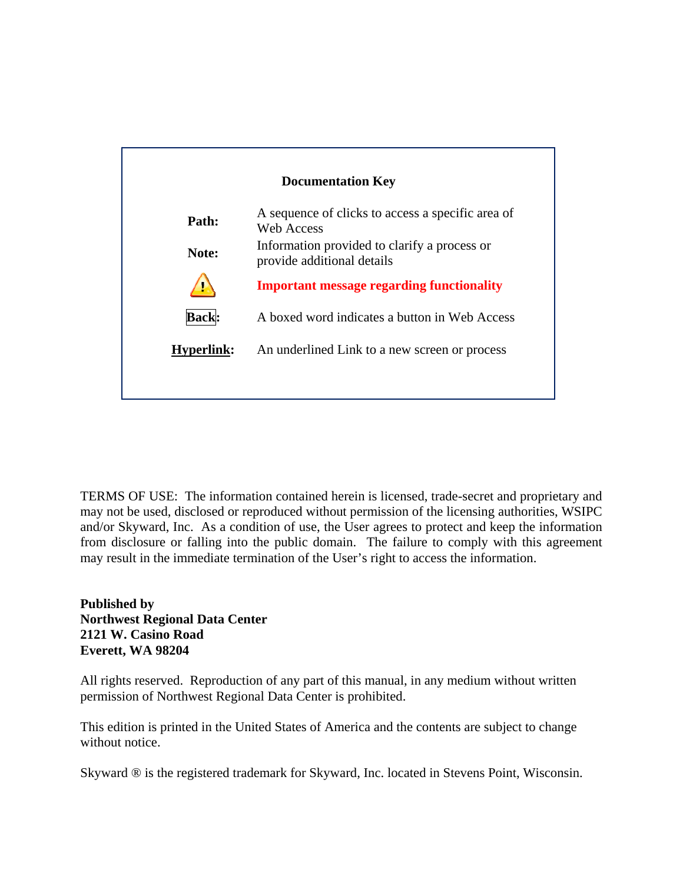

TERMS OF USE: The information contained herein is licensed, trade-secret and proprietary and may not be used, disclosed or reproduced without permission of the licensing authorities, WSIPC and/or Skyward, Inc. As a condition of use, the User agrees to protect and keep the information from disclosure or falling into the public domain. The failure to comply with this agreement may result in the immediate termination of the User's right to access the information.

#### **Published by Northwest Regional Data Center 2121 W. Casino Road Everett, WA 98204**

All rights reserved. Reproduction of any part of this manual, in any medium without written permission of Northwest Regional Data Center is prohibited.

This edition is printed in the United States of America and the contents are subject to change without notice.

Skyward ® is the registered trademark for Skyward, Inc. located in Stevens Point, Wisconsin.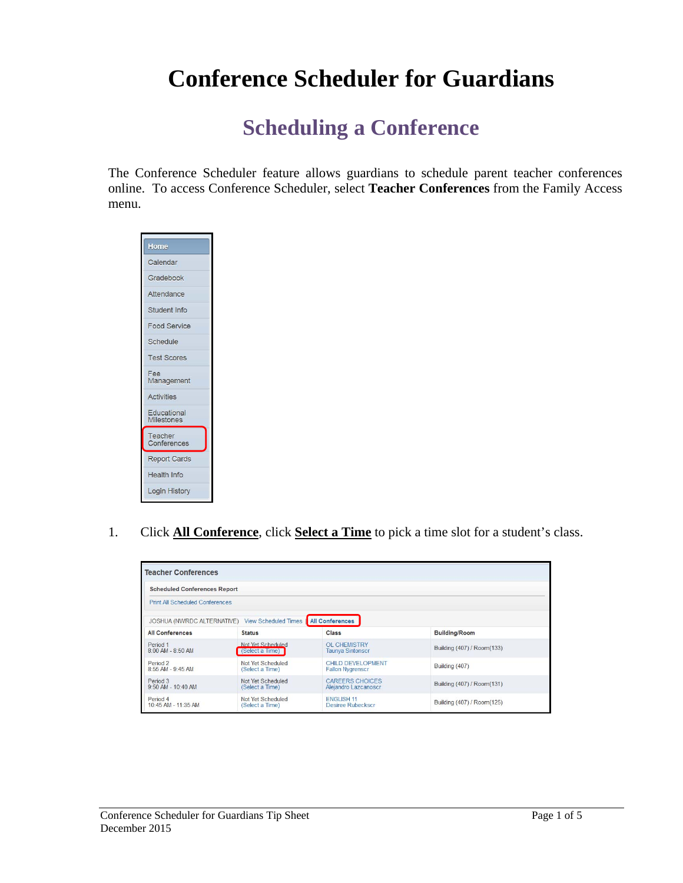# **Conference Scheduler for Guardians**

## **Scheduling a Conference**

The Conference Scheduler feature allows guardians to schedule parent teacher conferences online. To access Conference Scheduler, select **Teacher Conferences** from the Family Access menu.



1. Click **All Conference**, click **Select a Time** to pick a time slot for a student's class.

| <b>Scheduled Conferences Report</b>      |                                         |                                                |                            |
|------------------------------------------|-----------------------------------------|------------------------------------------------|----------------------------|
| <b>Print All Scheduled Conferences</b>   |                                         |                                                |                            |
| <b>JOSHUA (NWRDC ALTERNATIVE)</b>        | View Scheduled Times    All Conferences |                                                |                            |
| <b>All Conferences</b>                   | <b>Status</b>                           | <b>Class</b>                                   | <b>Building/Room</b>       |
| Period 1<br>8:00 AM - 8:50 AM            | Not Yet Scheduled<br>(Select a Time)    | OL CHEMISTRY<br><b>Taunya Sintonscr</b>        | Building (407) / Room(133) |
| Period <sub>2</sub><br>8:55 AM - 9:45 AM | Not Yet Scheduled<br>(Select a Time)    | CHILD DEVELOPMENT<br><b>Fallon Nygrenscr</b>   | Building (407)             |
| Period 3<br>$9.50$ AM - 10:40 AM         | Not Yet Scheduled<br>(Select a Time)    | <b>CAREERS CHOICES</b><br>Aleiandro Lazcanoscr | Building (407) / Room(131) |
| Period 4<br>10:45 AM - 11:35 AM          | Not Yet Scheduled<br>(Select a Time)    | <b>ENGLISH 11</b><br><b>Desiree Rubeckscr</b>  | Building (407) / Room(125) |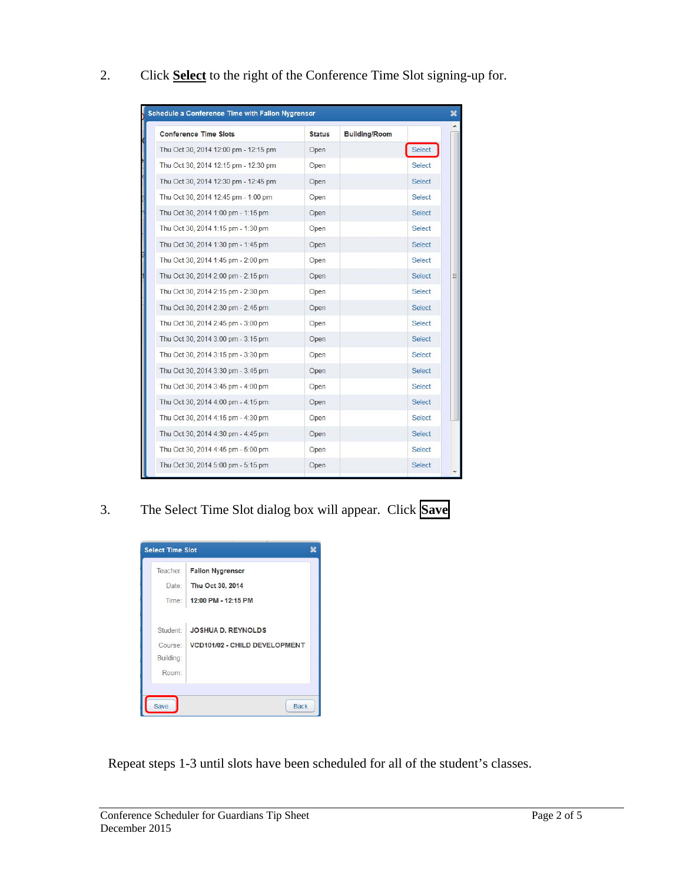2. Click **Select** to the right of the Conference Time Slot signing-up for.

| <b>Conference Time Slots</b>         | <b>Status</b> | <b>Building/Room</b> |               |
|--------------------------------------|---------------|----------------------|---------------|
| Thu Oct 30, 2014 12:00 pm - 12:15 pm | Open          |                      | <b>Select</b> |
| Thu Oct 30, 2014 12:15 pm - 12:30 pm | Open          |                      | Select        |
| Thu Oct 30, 2014 12:30 pm - 12:45 pm | Open          |                      | <b>Select</b> |
| Thu Oct 30, 2014 12:45 pm - 1:00 pm  | Open          |                      | <b>Select</b> |
| Thu Oct 30, 2014 1:00 pm - 1:15 pm   | Open          |                      | <b>Select</b> |
| Thu Oct 30, 2014 1:15 pm - 1:30 pm   | Open          |                      | <b>Select</b> |
| Thu Oct 30, 2014 1:30 pm - 1:45 pm   | Open          |                      | <b>Select</b> |
| Thu Oct 30, 2014 1:45 pm - 2:00 pm   | Open          |                      | <b>Select</b> |
| Thu Oct 30, 2014 2:00 pm - 2:15 pm   | Open          |                      | <b>Select</b> |
| Thu Oct 30, 2014 2:15 pm - 2:30 pm   | Open          |                      | <b>Select</b> |
| Thu Oct 30, 2014 2:30 pm - 2:45 pm   | Open          |                      | <b>Select</b> |
| Thu Oct 30, 2014 2:45 pm - 3:00 pm   | Open          |                      | <b>Select</b> |
| Thu Oct 30, 2014 3:00 pm - 3:15 pm   | Open          |                      | Select        |
| Thu Oct 30, 2014 3:15 pm - 3:30 pm   | Open          |                      | <b>Select</b> |
| Thu Oct 30, 2014 3:30 pm - 3:45 pm   | Open          |                      | <b>Select</b> |
| Thu Oct 30, 2014 3:45 pm - 4:00 pm   | Open          |                      | Select        |
| Thu Oct 30, 2014 4:00 pm - 4:15 pm   | Open          |                      | <b>Select</b> |
| Thu Oct 30, 2014 4:15 pm - 4:30 pm   | Open          |                      | Select        |
| Thu Oct 30, 2014 4:30 pm - 4:45 pm   | Open          |                      | <b>Select</b> |
| Thu Oct 30, 2014 4:45 pm - 5:00 pm   | Open          |                      | Select        |
| Thu Oct 30, 2014 5:00 pm - 5:15 pm   | Open          |                      | <b>Select</b> |

3. The Select Time Slot dialog box will appear. Click **Save**

| Teacher:  | <b>Fallon Nygrenscr</b>       |
|-----------|-------------------------------|
| Date:     | Thu Oct 30, 2014              |
| Time:     | 12:00 PM - 12:15 PM           |
| Student:  | <b>JOSHUA D. REYNOLDS</b>     |
| Course:   | VCD101/02 - CHILD DEVELOPMENT |
| Building: |                               |
| Room:     |                               |

Repeat steps 1-3 until slots have been scheduled for all of the student's classes.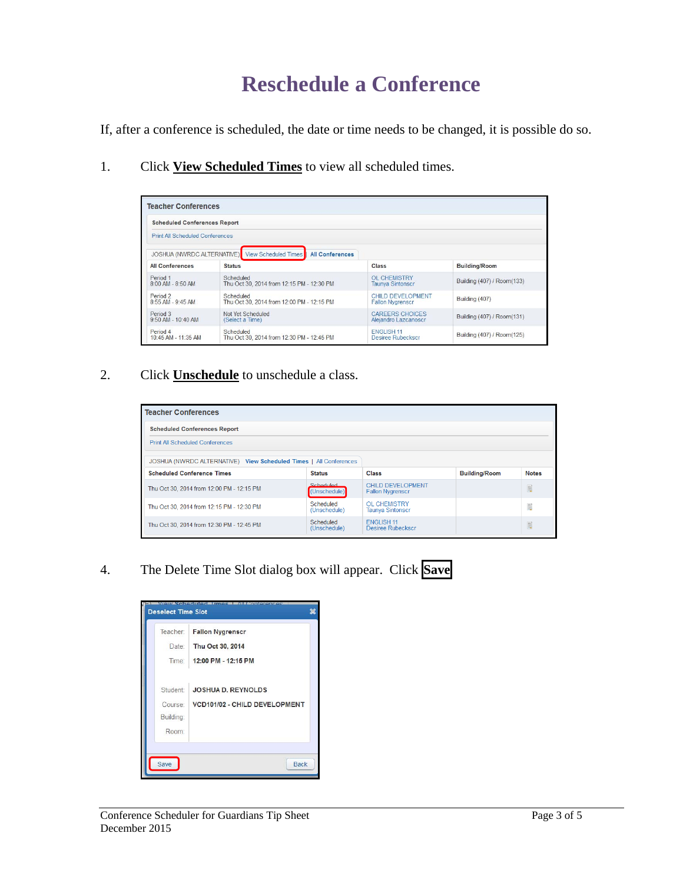### **Reschedule a Conference**

If, after a conference is scheduled, the date or time needs to be changed, it is possible do so.

1. Click **View Scheduled Times** to view all scheduled times.

| <b>Scheduled Conferences Report</b>    |                                                                           |                          |                            |
|----------------------------------------|---------------------------------------------------------------------------|--------------------------|----------------------------|
| <b>Print All Scheduled Conferences</b> |                                                                           |                          |                            |
|                                        | JOSHUA (NWRDC ALTERNATIVE) View Scheduled Times<br><b>All Conferences</b> |                          |                            |
| <b>All Conferences</b>                 | <b>Status</b>                                                             | Class                    | <b>Building/Room</b>       |
| Period 1                               | Scheduled                                                                 | <b>OL CHEMISTRY</b>      | Building (407) / Room(133) |
| 8:00 AM - 8:50 AM                      | Thu Oct 30, 2014 from 12:15 PM - 12:30 PM                                 | <b>Taunya Sintonscr</b>  |                            |
| Period <sub>2</sub>                    | Scheduled                                                                 | CHILD DEVELOPMENT        | Building (407)             |
| 8:55 AM - 9:45 AM                      | Thu Oct 30, 2014 from 12:00 PM - 12:15 PM                                 | <b>Fallon Nvgrenscr</b>  |                            |
| Period 3                               | Not Yet Scheduled                                                         | <b>CAREERS CHOICES</b>   | Building (407) / Room(131) |
| 9:50 AM - 10:40 AM                     | (Select a Time)                                                           | Alejandro Lazcanoscr     |                            |
| Period 4                               | Scheduled                                                                 | FNGI ISH 11              | Building (407) / Room(125) |
| 10:45 AM - 11:35 AM                    | Thu Oct 30, 2014 from 12:30 PM - 12:45 PM                                 | <b>Desiree Rubeckscr</b> |                            |

2. Click **Unschedule** to unschedule a class.

| <b>Teacher Conferences</b>                                        |                           |                                                |                      |              |
|-------------------------------------------------------------------|---------------------------|------------------------------------------------|----------------------|--------------|
| <b>Scheduled Conferences Report</b>                               |                           |                                                |                      |              |
| <b>Print All Scheduled Conferences</b>                            |                           |                                                |                      |              |
| JOSHUA (NWRDC ALTERNATIVE) View Scheduled Times   All Conferences |                           |                                                |                      |              |
| <b>Scheduled Conference Times</b>                                 | <b>Status</b>             | <b>Class</b>                                   | <b>Building/Room</b> | <b>Notes</b> |
| Thu Oct 30, 2014 from 12:00 PM - 12:15 PM                         | Scheduled<br>(Unschedule) | CHILD DEVELOPMENT<br><b>Fallon Nygrenscr</b>   |                      | E            |
| Thu Oct 30, 2014 from 12:15 PM - 12:30 PM                         | Scheduled<br>(Unschedule) | <b>OL CHEMISTRY</b><br><b>Taunya Sintonscr</b> |                      | E            |
| Thu Oct 30, 2014 from 12:30 PM - 12:45 PM                         | Scheduled<br>(Unschedule) | FNGI ISH 11<br>Desiree Rubeckscr               |                      | E            |

4. The Delete Time Slot dialog box will appear. Click **Save**

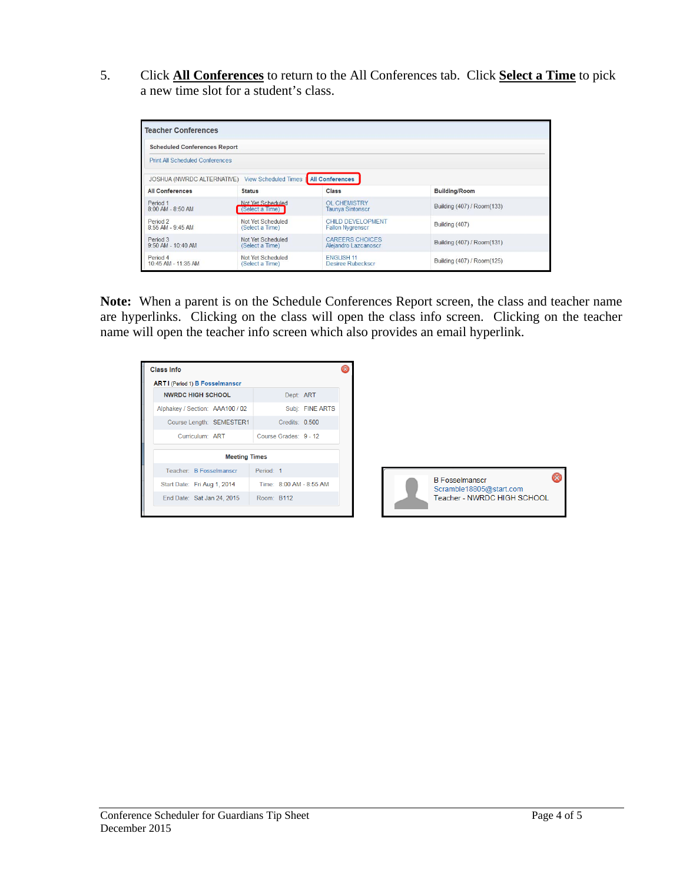5. Click **All Conferences** to return to the All Conferences tab. Click **Select a Time** to pick a new time slot for a student's class.

| <b>Scheduled Conferences Report</b>    |                                      |                                                |                            |
|----------------------------------------|--------------------------------------|------------------------------------------------|----------------------------|
|                                        |                                      |                                                |                            |
| <b>Print All Scheduled Conferences</b> |                                      |                                                |                            |
| <b>JOSHUA (NWRDC ALTERNATIVE)</b>      | <b>View Scheduled Times</b>          | <b>All Conferences</b>                         |                            |
| <b>All Conferences</b>                 | <b>Status</b>                        | <b>Class</b>                                   | <b>Building/Room</b>       |
| Period 1<br>8:00 AM - 8:50 AM          | Not Yet Scheduled<br>(Select a Time) | OL CHEMISTRY<br><b>Taunya Sintonscr</b>        | Building (407) / Room(133) |
| Period 2<br>8:55 AM - 9:45 AM          | Not Yet Scheduled<br>(Select a Time) | CHILD DEVELOPMENT<br><b>Fallon Nvgrenscr</b>   | Building (407)             |
| Period 3<br>$9.50$ AM - $10.40$ AM     | Not Yet Scheduled<br>(Select a Time) | <b>CAREERS CHOICES</b><br>Alejandro Lazcanoscr | Building (407) / Room(131) |
| Period 4<br>10:45 AM - 11:35 AM        | Not Yet Scheduled<br>(Select a Time) | <b>ENGLISH 11</b><br>Desiree Rubeckscr         | Building (407) / Room(125) |

**Note:** When a parent is on the Schedule Conferences Report screen, the class and teacher name are hyperlinks. Clicking on the class will open the class info screen. Clicking on the teacher name will open the teacher info screen which also provides an email hyperlink.

| <b>Class Info</b>                     |                         |  |
|---------------------------------------|-------------------------|--|
| <b>ARTI</b> (Period 1) B Fosselmanscr |                         |  |
| <b>NWRDC HIGH SCHOOL</b>              | Dept: ART               |  |
| Alphakey / Section: AAA100 / 02       | Subj: FINE ARTS         |  |
| Course Length: SEMESTER1              | Credits: 0.500          |  |
| Curriculum: ART                       | Course Grades: 9 - 12   |  |
| <b>Meeting Times</b>                  |                         |  |
| Teacher: B Eosselmanscr               | Period: 1               |  |
| Start Date: Fri Aug 1, 2014           | Time: 8:00 AM - 8:55 AM |  |
| End Date: Sat Jan 24, 2015            | Room: B112              |  |